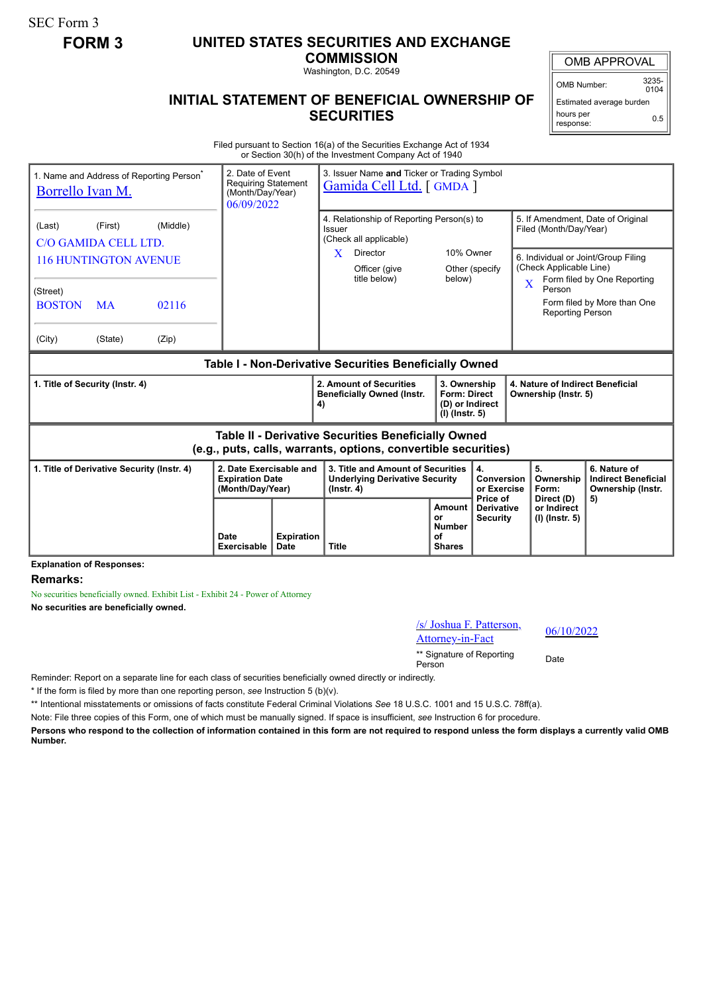SEC Form 3

## **FORM 3 UNITED STATES SECURITIES AND EXCHANGE**

**COMMISSION** Washington, D.C. 20549

**INITIAL STATEMENT OF BENEFICIAL OWNERSHIP OF SECURITIES**

OMB APPROVAL

OMB Number: 3235-  $0104$ 

0.5

Estimated average burden hours per

## response:

Filed pursuant to Section 16(a) of the Securities Exchange Act of 1934 or Section 30(h) of the Investment Company Act of 1940

| 1. Name and Address of Reporting Person <sup>®</sup><br>Borrello Ivan M.                                              |                                                                 |                            | 2. Date of Event<br><b>Requiring Statement</b><br>(Month/Day/Year)<br>06/09/2022 |                           | 3. Issuer Name and Ticker or Trading Symbol<br>Gamida Cell Ltd. [GMDA]                                                                                                   |                                                                   |                                                  |                                                                                                                                                                                                                                                             |                                                                 |  |
|-----------------------------------------------------------------------------------------------------------------------|-----------------------------------------------------------------|----------------------------|----------------------------------------------------------------------------------|---------------------------|--------------------------------------------------------------------------------------------------------------------------------------------------------------------------|-------------------------------------------------------------------|--------------------------------------------------|-------------------------------------------------------------------------------------------------------------------------------------------------------------------------------------------------------------------------------------------------------------|-----------------------------------------------------------------|--|
| (Last)<br>C/O GAMIDA CELL LTD.<br>(Street)<br><b>BOSTON</b><br>(City)                                                 | (First)<br><b>116 HUNTINGTON AVENUE</b><br><b>MA</b><br>(State) | (Middle)<br>02116<br>(Zip) |                                                                                  |                           | 4. Relationship of Reporting Person(s) to<br>Issuer<br>(Check all applicable)<br>10% Owner<br>X<br>Director<br>Officer (give<br>Other (specify<br>title below)<br>below) |                                                                   |                                                  | 5. If Amendment, Date of Original<br>Filed (Month/Day/Year)<br>6. Individual or Joint/Group Filing<br>(Check Applicable Line)<br>Form filed by One Reporting<br>$\overline{\mathbf{X}}$<br>Person<br>Form filed by More than One<br><b>Reporting Person</b> |                                                                 |  |
| Table I - Non-Derivative Securities Beneficially Owned                                                                |                                                                 |                            |                                                                                  |                           |                                                                                                                                                                          |                                                                   |                                                  |                                                                                                                                                                                                                                                             |                                                                 |  |
| 1. Title of Security (Instr. 4)                                                                                       |                                                                 |                            |                                                                                  |                           | 2. Amount of Securities<br><b>Beneficially Owned (Instr.</b><br>4)                                                                                                       | 3. Ownership<br>Form: Direct<br>(D) or Indirect<br>(I) (Instr. 5) |                                                  | 4. Nature of Indirect Beneficial<br>Ownership (Instr. 5)                                                                                                                                                                                                    |                                                                 |  |
| Table II - Derivative Securities Beneficially Owned<br>(e.g., puts, calls, warrants, options, convertible securities) |                                                                 |                            |                                                                                  |                           |                                                                                                                                                                          |                                                                   |                                                  |                                                                                                                                                                                                                                                             |                                                                 |  |
| 1. Title of Derivative Security (Instr. 4)                                                                            |                                                                 |                            | 2. Date Exercisable and<br><b>Expiration Date</b><br>(Month/Day/Year)            |                           | 3. Title and Amount of Securities<br><b>Underlying Derivative Security</b><br>$($ lnstr. 4 $)$                                                                           |                                                                   | 4.<br>Conversion<br>or Exercise                  | 5.<br>Ownership<br>Form:                                                                                                                                                                                                                                    | 6. Nature of<br><b>Indirect Beneficial</b><br>Ownership (Instr. |  |
|                                                                                                                       |                                                                 |                            | Date<br><b>Exercisable</b>                                                       | <b>Expiration</b><br>Date | <b>Title</b>                                                                                                                                                             | Amount<br>or<br><b>Number</b><br>οf<br><b>Shares</b>              | Price of<br><b>Derivative</b><br><b>Security</b> | Direct (D)<br>or Indirect<br>(I) (Instr. 5)                                                                                                                                                                                                                 | 5)                                                              |  |

**Explanation of Responses:**

**Remarks:**

No securities beneficially owned. Exhibit List - Exhibit 24 - Power of Attorney

**No securities are beneficially owned.**

/s/ Joshua F. Patterson,  $\frac{87 \text{ Joshua F. Patterson}}{06/10/2022}$ 

\*\* Signature of Reporting Person Date

Reminder: Report on a separate line for each class of securities beneficially owned directly or indirectly.

\* If the form is filed by more than one reporting person, *see* Instruction 5 (b)(v).

\*\* Intentional misstatements or omissions of facts constitute Federal Criminal Violations *See* 18 U.S.C. 1001 and 15 U.S.C. 78ff(a).

Note: File three copies of this Form, one of which must be manually signed. If space is insufficient, *see* Instruction 6 for procedure.

**Persons who respond to the collection of information contained in this form are not required to respond unless the form displays a currently valid OMB Number.**